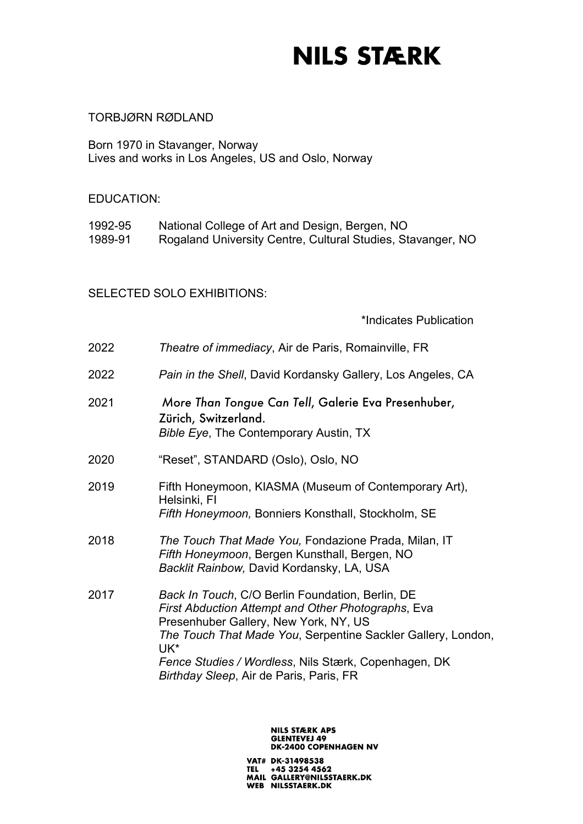### TORBJØRN RØDLAND

Born 1970 in Stavanger, Norway Lives and works in Los Angeles, US and Oslo, Norway

### EDUCATION:

1992-95 National College of Art and Design, Bergen, NO 1989-91 Rogaland University Centre, Cultural Studies, Stavanger, NO

### SELECTED SOLO EXHIBITIONS:

\*Indicates Publication

| 2022 | Theatre of immediacy, Air de Paris, Romainville, FR                                                                                                                                                                                                                                                                       |
|------|---------------------------------------------------------------------------------------------------------------------------------------------------------------------------------------------------------------------------------------------------------------------------------------------------------------------------|
| 2022 | Pain in the Shell, David Kordansky Gallery, Los Angeles, CA                                                                                                                                                                                                                                                               |
| 2021 | More Than Tongue Can Tell, Galerie Eva Presenhuber,<br>Zürich, Switzerland.<br>Bible Eye, The Contemporary Austin, TX                                                                                                                                                                                                     |
| 2020 | "Reset", STANDARD (Oslo), Oslo, NO                                                                                                                                                                                                                                                                                        |
| 2019 | Fifth Honeymoon, KIASMA (Museum of Contemporary Art),<br>Helsinki, FI<br>Fifth Honeymoon, Bonniers Konsthall, Stockholm, SE                                                                                                                                                                                               |
| 2018 | The Touch That Made You, Fondazione Prada, Milan, IT<br>Fifth Honeymoon, Bergen Kunsthall, Bergen, NO<br>Backlit Rainbow, David Kordansky, LA, USA                                                                                                                                                                        |
| 2017 | Back In Touch, C/O Berlin Foundation, Berlin, DE<br>First Abduction Attempt and Other Photographs, Eva<br>Presenhuber Gallery, New York, NY, US<br>The Touch That Made You, Serpentine Sackler Gallery, London,<br>UK*<br>Fence Studies / Wordless, Nils Stærk, Copenhagen, DK<br>Birthday Sleep, Air de Paris, Paris, FR |
|      |                                                                                                                                                                                                                                                                                                                           |

### **NILS STÆRK APS GLENTEVEJ 49<br>DK-2400 COPENHAGEN NV**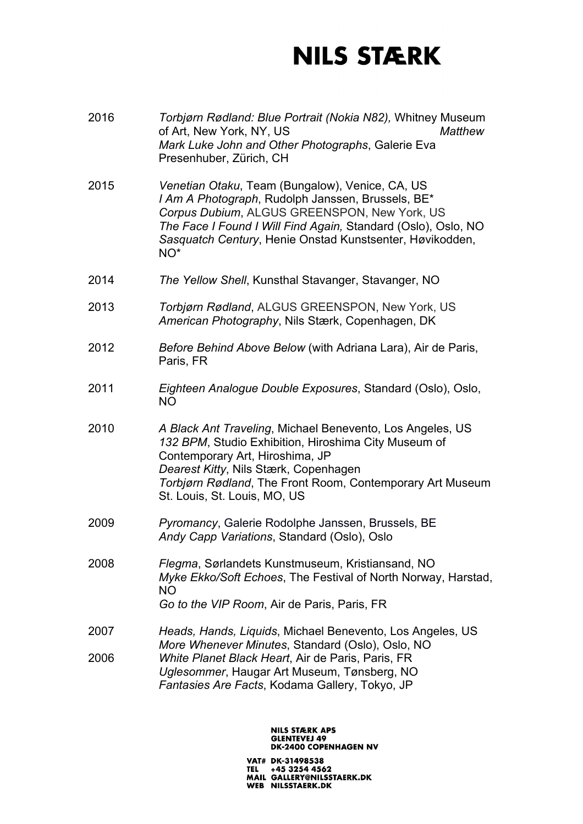- 2016 *Torbjørn Rødland: Blue Portrait (Nokia N82),* Whitney Museum of Art, New York, NY, US *Matthew Mark Luke John and Other Photographs*, Galerie Eva Presenhuber, Zürich, CH
- 2015 *Venetian Otaku*, Team (Bungalow), Venice, CA, US *I Am A Photograph*, Rudolph Janssen, Brussels, BE\* *Corpus Dubium*, ALGUS GREENSPON, New York, US *The Face I Found I Will Find Again,* Standard (Oslo), Oslo, NO *Sasquatch Century*, Henie Onstad Kunstsenter, Høvikodden, NO\*
- 2014 *The Yellow Shell*, Kunsthal Stavanger, Stavanger, NO
- 2013 *Torbjørn Rødland*, ALGUS GREENSPON, New York, US *American Photography*, Nils Stærk, Copenhagen, DK
- 2012 *Before Behind Above Below* (with Adriana Lara), Air de Paris, Paris, FR
- 2011 *Eighteen Analogue Double Exposures*, Standard (Oslo), Oslo, NO
- 2010 *A Black Ant Traveling*, Michael Benevento, Los Angeles, US *132 BPM*, Studio Exhibition, Hiroshima City Museum of Contemporary Art, Hiroshima, JP *Dearest Kitty*, Nils Stærk, Copenhagen *Torbjørn Rødland*, The Front Room, Contemporary Art Museum St. Louis, St. Louis, MO, US
- 2009 *Pyromancy*, Galerie Rodolphe Janssen, Brussels, BE *Andy Capp Variations*, Standard (Oslo), Oslo
- 2008 *Flegma*, Sørlandets Kunstmuseum, Kristiansand, NO *Myke Ekko/Soft Echoes*, The Festival of North Norway, Harstad, NO *Go to the VIP Room*, Air de Paris, Paris, FR
- 2007 *Heads, Hands, Liquids*, Michael Benevento, Los Angeles, US *More Whenever Minutes*, Standard (Oslo), Oslo, NO 2006 *White Planet Black Heart*, Air de Paris, Paris, FR *Uglesommer*, Haugar Art Museum, Tønsberg, NO *Fantasies Are Facts*, Kodama Gallery, Tokyo, JP

#### **NILS STÆRK APS GLENTEVEJ 49 DK-2400 COPENHAGEN NV**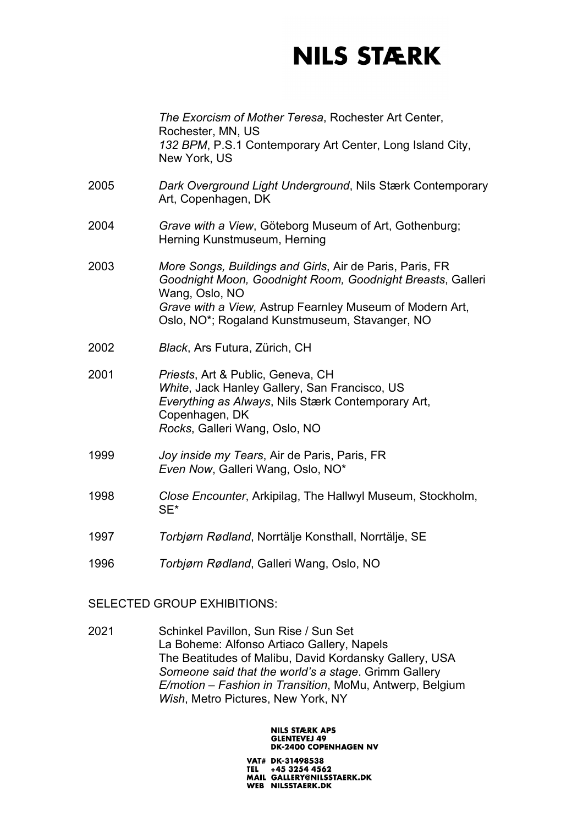|      | The Exorcism of Mother Teresa, Rochester Art Center,<br>Rochester, MN, US<br>132 BPM, P.S.1 Contemporary Art Center, Long Island City,<br>New York, US                                                                                                 |
|------|--------------------------------------------------------------------------------------------------------------------------------------------------------------------------------------------------------------------------------------------------------|
| 2005 | Dark Overground Light Underground, Nils Stærk Contemporary<br>Art, Copenhagen, DK                                                                                                                                                                      |
| 2004 | Grave with a View, Göteborg Museum of Art, Gothenburg;<br>Herning Kunstmuseum, Herning                                                                                                                                                                 |
| 2003 | More Songs, Buildings and Girls, Air de Paris, Paris, FR<br>Goodnight Moon, Goodnight Room, Goodnight Breasts, Galleri<br>Wang, Oslo, NO<br>Grave with a View, Astrup Fearnley Museum of Modern Art,<br>Oslo, NO*; Rogaland Kunstmuseum, Stavanger, NO |
| 2002 | Black, Ars Futura, Zürich, CH                                                                                                                                                                                                                          |
| 2001 | Priests, Art & Public, Geneva, CH<br>White, Jack Hanley Gallery, San Francisco, US<br>Everything as Always, Nils Stærk Contemporary Art,<br>Copenhagen, DK<br>Rocks, Galleri Wang, Oslo, NO                                                            |
| 1999 | Joy inside my Tears, Air de Paris, Paris, FR<br>Even Now, Galleri Wang, Oslo, NO*                                                                                                                                                                      |
| 1998 | Close Encounter, Arkipilag, The Hallwyl Museum, Stockholm,<br>SE*                                                                                                                                                                                      |
| 1997 | Torbjørn Rødland, Norrtälje Konsthall, Norrtälje, SE                                                                                                                                                                                                   |
| 1996 | Torbjørn Rødland, Galleri Wang, Oslo, NO                                                                                                                                                                                                               |

### SELECTED GROUP EXHIBITIONS:

2021 Schinkel Pavillon, Sun Rise / Sun Set La Boheme: Alfonso Artiaco Gallery, Napels The Beatitudes of Malibu, David Kordansky Gallery, USA *Someone said that the world's a stage*. Grimm Gallery *E/motion – Fashion in Transition*, MoMu, Antwerp, Belgium *Wish*, Metro Pictures, New York, NY

### **NILS STÆRK APS GLENTEVEJ 49<br>DK-2400 COPENHAGEN NV**

VAT# DK-31498538 TEL +45 3254 4562<br>TEL +45 3254 4562<br>MAIL GALLERY@NILSSTAERK.DK WEB NILSSTAERK.DK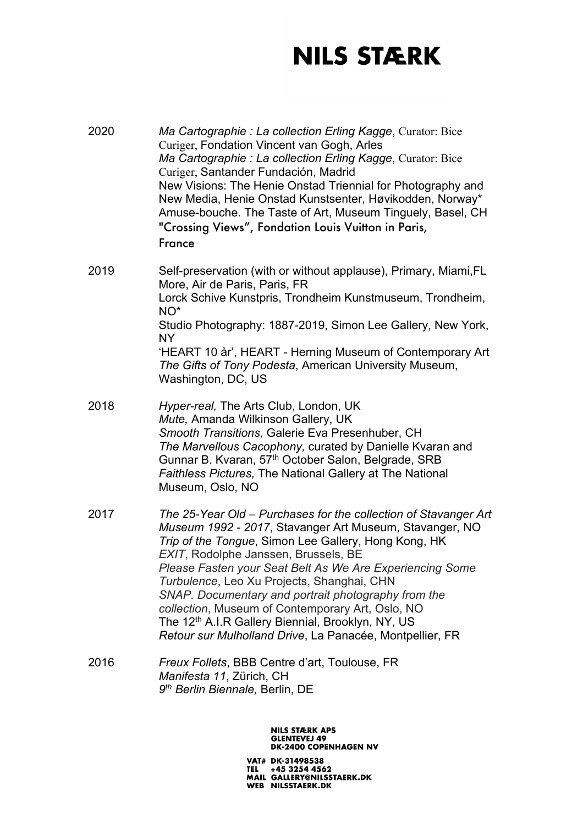2020 *Ma Cartographie : La collection Erling Kagge*, Curator: Bice Curiger, Fondation Vincent van Gogh, Arles *Ma Cartographie : La collection Erling Kagge*, Curator: Bice Curiger, Santander Fundación, Madrid New Visions: The Henie Onstad Triennial for Photography and New Media, Henie Onstad Kunstsenter, Høvikodden, Norway\* Amuse-bouche. The Taste of Art, Museum Tinguely, Basel, CH "Crossing Views", Fondation Louis Vuitton in Paris, France

- 2019 Self-preservation (with or without applause), Primary, Miami,FL More, Air de Paris, Paris, FR Lorck Schive Kunstpris, Trondheim Kunstmuseum, Trondheim, NO\* Studio Photography: 1887-2019, Simon Lee Gallery, New York, NY 'HEART 10 år', HEART - Herning Museum of Contemporary Art *The Gifts of Tony Podesta*, American University Museum, Washington, DC, US
- 2018 *Hyper-real,* The Arts Club, London, UK *Mute,* Amanda Wilkinson Gallery, UK *Smooth Transitions,* Galerie Eva Presenhuber, CH *The Marvellous Cacophony,* curated by Danielle Kvaran and Gunnar B. Kvaran, 57<sup>th</sup> October Salon, Belgrade, SRB *Faithless Pictures,* The National Gallery at The National Museum, Oslo, NO
- 2017 *The 25-Year Old – Purchases for the collection of Stavanger Art Museum 1992 - 2017*, Stavanger Art Museum, Stavanger, NO *Trip of the Tongue*, Simon Lee Gallery, Hong Kong, HK *EXIT*, Rodolphe Janssen, Brussels, BE *Please Fasten your Seat Belt As We Are Experiencing Some Turbulence*, Leo Xu Projects, Shanghai, CHN *SNAP. Documentary and portrait photography from the collection*, Museum of Contemporary Art, Oslo, NO The 12<sup>th</sup> A.I.R Gallery Biennial, Brooklyn, NY, US *Retour sur Mulholland Drive*, La Panacée, Montpellier, FR
- 2016 *Freux Follets*, BBB Centre d'art, Toulouse, FR *Manifesta 11*, Zürich, CH *9th Berlin Biennale,* Berlin, DE

#### **NILS STÆRK APS GLENTEVEJ 49 DK-2400 COPENHAGEN NV**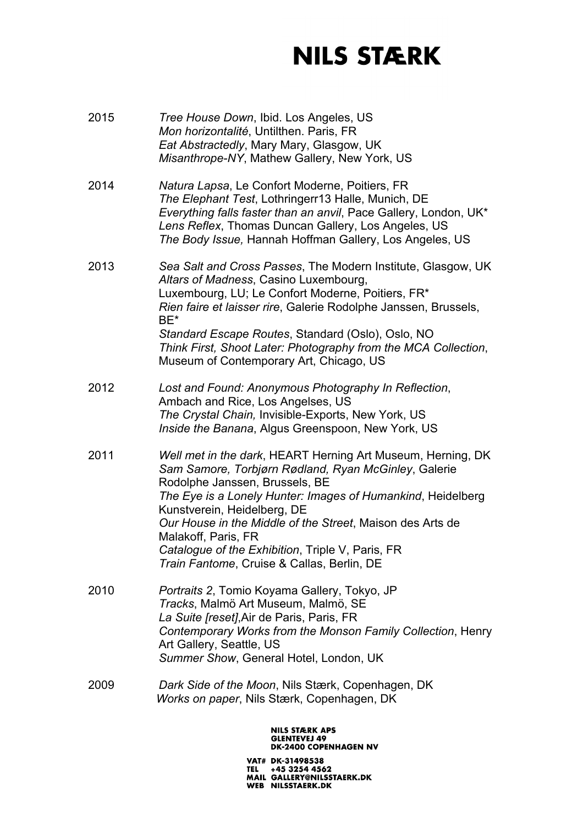- 2015 *Tree House Down*, Ibid. Los Angeles, US *Mon horizontalité*, Untilthen. Paris, FR *Eat Abstractedly*, Mary Mary, Glasgow, UK *Misanthrope-NY*, Mathew Gallery, New York, US
- 2014 *Natura Lapsa*, Le Confort Moderne, Poitiers, FR *The Elephant Test*, Lothringerr13 Halle, Munich, DE *Everything falls faster than an anvil*, Pace Gallery, London, UK\* *Lens Reflex*, Thomas Duncan Gallery, Los Angeles, US *The Body Issue,* Hannah Hoffman Gallery, Los Angeles, US
- 2013 *Sea Salt and Cross Passes*, The Modern Institute, Glasgow, UK *Altars of Madness*, Casino Luxembourg, Luxembourg, LU; Le Confort Moderne, Poitiers, FR\* *Rien faire et laisser rire*, Galerie Rodolphe Janssen, Brussels, BE\* *Standard Escape Routes*, Standard (Oslo), Oslo, NO *Think First, Shoot Later: Photography from the MCA Collection*, Museum of Contemporary Art, Chicago, US
- 2012 *Lost and Found: Anonymous Photography In Reflection*, Ambach and Rice, Los Angelses, US *The Crystal Chain,* Invisible-Exports, New York, US *Inside the Banana*, Algus Greenspoon, New York, US
- 2011 *Well met in the dark*, HEART Herning Art Museum, Herning, DK *Sam Samore, Torbjørn Rødland, Ryan McGinley*, Galerie Rodolphe Janssen, Brussels, BE *The Eye is a Lonely Hunter: Images of Humankind*, Heidelberg Kunstverein, Heidelberg, DE *Our House in the Middle of the Street*, Maison des Arts de Malakoff, Paris, FR *Catalogue of the Exhibition*, Triple V, Paris, FR *Train Fantome*, Cruise & Callas, Berlin, DE
- 2010 *Portraits 2*, Tomio Koyama Gallery, Tokyo, JP *Tracks*, Malmö Art Museum, Malmö, SE *La Suite [reset]*,Air de Paris, Paris, FR *Contemporary Works from the Monson Family Collection*, Henry Art Gallery, Seattle, US *Summer Show*, General Hotel, London, UK
- 2009 *Dark Side of the Moon*, Nils Stærk, Copenhagen, DK *Works on paper*, Nils Stærk, Copenhagen, DK

#### **NILS STÆRK APS GLENTEVEJ 49 DK-2400 COPENHAGEN NV**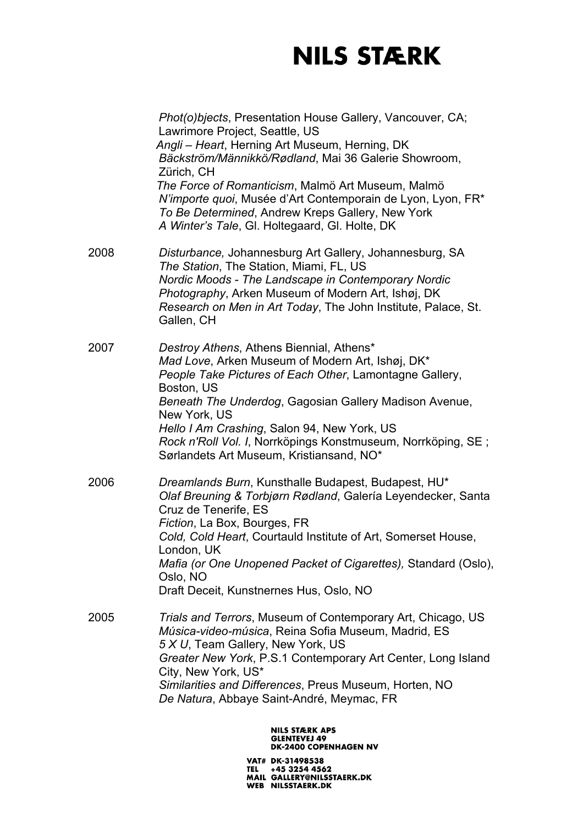|      | Phot(o)bjects, Presentation House Gallery, Vancouver, CA;<br>Lawrimore Project, Seattle, US<br>Angli - Heart, Herning Art Museum, Herning, DK<br>Bäckström/Männikkö/Rødland, Mai 36 Galerie Showroom,<br>Zürich, CH<br>The Force of Romanticism, Malmö Art Museum, Malmö<br>N'importe quoi, Musée d'Art Contemporain de Lyon, Lyon, FR*<br>To Be Determined, Andrew Kreps Gallery, New York                |
|------|------------------------------------------------------------------------------------------------------------------------------------------------------------------------------------------------------------------------------------------------------------------------------------------------------------------------------------------------------------------------------------------------------------|
| 2008 | A Winter's Tale, Gl. Holtegaard, Gl. Holte, DK<br>Disturbance, Johannesburg Art Gallery, Johannesburg, SA<br>The Station, The Station, Miami, FL, US<br>Nordic Moods - The Landscape in Contemporary Nordic<br>Photography, Arken Museum of Modern Art, Ishøj, DK<br>Research on Men in Art Today, The John Institute, Palace, St.<br>Gallen, CH                                                           |
| 2007 | Destroy Athens, Athens Biennial, Athens*<br>Mad Love, Arken Museum of Modern Art, Ishøj, DK*<br>People Take Pictures of Each Other, Lamontagne Gallery,<br>Boston, US<br>Beneath The Underdog, Gagosian Gallery Madison Avenue,<br>New York, US<br>Hello I Am Crashing, Salon 94, New York, US<br>Rock n'Roll Vol. I, Norrköpings Konstmuseum, Norrköping, SE;<br>Sørlandets Art Museum, Kristiansand, NO* |
| 2006 | Dreamlands Burn, Kunsthalle Budapest, Budapest, HU*<br>Olaf Breuning & Torbjørn Rødland, Galería Leyendecker, Santa<br>Cruz de Tenerife, ES<br>Fiction, La Box, Bourges, FR<br>Cold, Cold Heart, Courtauld Institute of Art, Somerset House,<br>London, UK<br>Mafia (or One Unopened Packet of Cigarettes), Standard (Oslo),<br>Oslo, NO<br>Draft Deceit, Kunstnernes Hus, Oslo, NO                        |
| 2005 | Trials and Terrors, Museum of Contemporary Art, Chicago, US<br>Música-video-música, Reina Sofia Museum, Madrid, ES<br>5 X U, Team Gallery, New York, US<br>Greater New York, P.S.1 Contemporary Art Center, Long Island<br>City, New York, US*<br>Similarities and Differences, Preus Museum, Horten, NO<br>De Natura, Abbaye Saint-André, Meymac, FR                                                      |
|      |                                                                                                                                                                                                                                                                                                                                                                                                            |

### NILS STÆRK APS<br>GLENTEVEJ 49<br>DK-2400 COPENHAGEN NV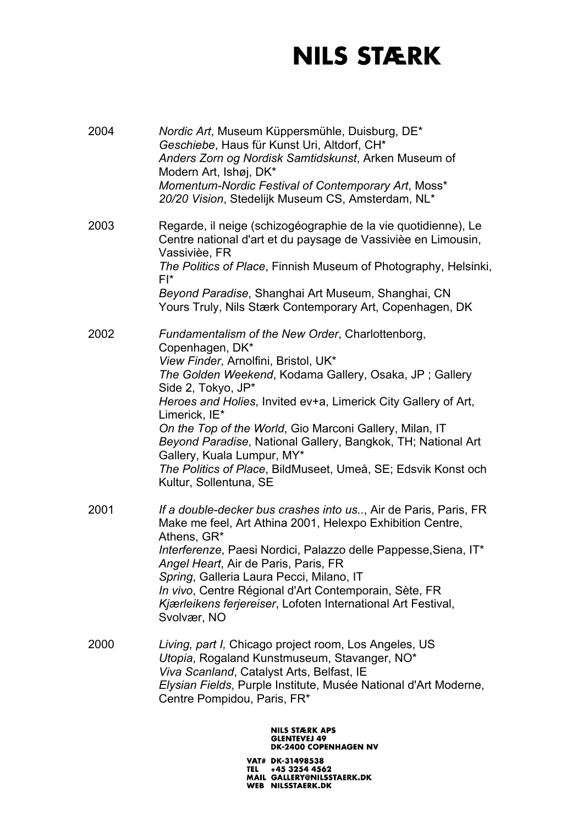| 2004 | Nordic Art, Museum Küppersmühle, Duisburg, DE*<br>Geschiebe, Haus für Kunst Uri, Altdorf, CH*<br>Anders Zorn og Nordisk Samtidskunst, Arken Museum of<br>Modern Art, Ishøj, DK*<br>Momentum-Nordic Festival of Contemporary Art, Moss*<br>20/20 Vision, Stedelijk Museum CS, Amsterdam, NL*                                                                                                                                                                                                                                        |
|------|------------------------------------------------------------------------------------------------------------------------------------------------------------------------------------------------------------------------------------------------------------------------------------------------------------------------------------------------------------------------------------------------------------------------------------------------------------------------------------------------------------------------------------|
| 2003 | Regarde, il neige (schizogéographie de la vie quotidienne), Le<br>Centre national d'art et du paysage de Vassivièe en Limousin,<br>Vassivièe, FR<br>The Politics of Place, Finnish Museum of Photography, Helsinki,<br>$FI^*$<br>Beyond Paradise, Shanghai Art Museum, Shanghai, CN<br>Yours Truly, Nils Stærk Contemporary Art, Copenhagen, DK                                                                                                                                                                                    |
| 2002 | Fundamentalism of the New Order, Charlottenborg,<br>Copenhagen, DK*<br>View Finder, Arnolfini, Bristol, UK*<br>The Golden Weekend, Kodama Gallery, Osaka, JP; Gallery<br>Side 2, Tokyo, JP*<br>Heroes and Holies, Invited ev+a, Limerick City Gallery of Art,<br>Limerick, IE*<br>On the Top of the World, Gio Marconi Gallery, Milan, IT<br>Beyond Paradise, National Gallery, Bangkok, TH; National Art<br>Gallery, Kuala Lumpur, MY*<br>The Politics of Place, BildMuseet, Umeå, SE; Edsvik Konst och<br>Kultur, Sollentuna, SE |
| 2001 | If a double-decker bus crashes into us, Air de Paris, Paris, FR<br>Make me feel, Art Athina 2001, Helexpo Exhibition Centre,<br>Athens, GR*<br>Interferenze, Paesi Nordici, Palazzo delle Pappesse, Siena, IT*<br>Angel Heart, Air de Paris, Paris, FR<br>Spring, Galleria Laura Pecci, Milano, IT<br>In vivo, Centre Régional d'Art Contemporain, Sète, FR<br>Kjærleikens ferjereiser, Lofoten International Art Festival,<br>Svolvær, NO                                                                                         |
| 2000 | Living, part I, Chicago project room, Los Angeles, US<br>Utopia, Rogaland Kunstmuseum, Stavanger, NO*<br>Viva Scanland, Catalyst Arts, Belfast, IE<br>Elysian Fields, Purple Institute, Musée National d'Art Moderne,<br>Centre Pompidou, Paris, FR*                                                                                                                                                                                                                                                                               |
|      | <b>NILS STÆRK APS</b><br><b>GLENTEVEJ 49</b><br><b>DK-2400 COPENHAGEN NV</b>                                                                                                                                                                                                                                                                                                                                                                                                                                                       |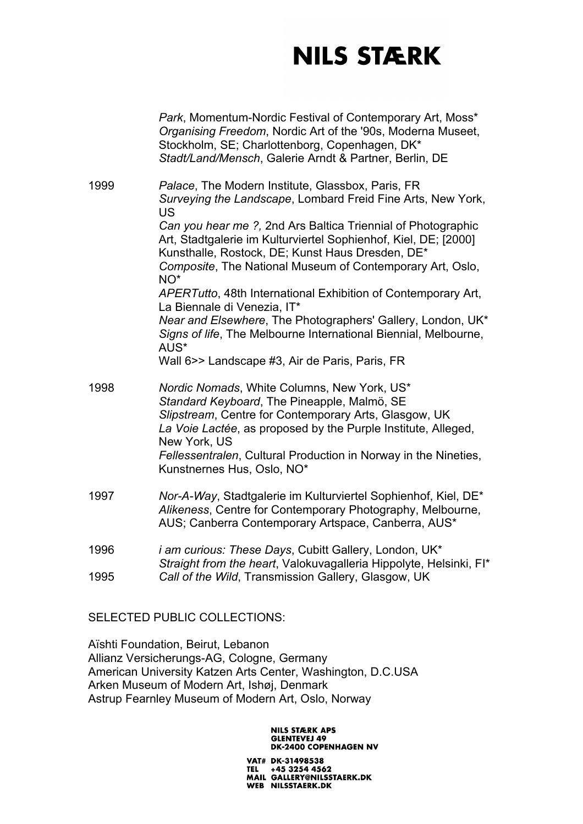|      | Park, Momentum-Nordic Festival of Contemporary Art, Moss*<br>Organising Freedom, Nordic Art of the '90s, Moderna Museet,<br>Stockholm, SE; Charlottenborg, Copenhagen, DK*<br>Stadt/Land/Mensch, Galerie Arndt & Partner, Berlin, DE                                |
|------|---------------------------------------------------------------------------------------------------------------------------------------------------------------------------------------------------------------------------------------------------------------------|
| 1999 | Palace, The Modern Institute, Glassbox, Paris, FR<br>Surveying the Landscape, Lombard Freid Fine Arts, New York,<br>US                                                                                                                                              |
|      | Can you hear me ?, 2nd Ars Baltica Triennial of Photographic<br>Art, Stadtgalerie im Kulturviertel Sophienhof, Kiel, DE; [2000]<br>Kunsthalle, Rostock, DE; Kunst Haus Dresden, DE*<br>Composite, The National Museum of Contemporary Art, Oslo,<br>NO <sup>*</sup> |
|      | APERTutto, 48th International Exhibition of Contemporary Art,<br>La Biennale di Venezia, IT*                                                                                                                                                                        |
|      | Near and Elsewhere, The Photographers' Gallery, London, UK*<br>Signs of life, The Melbourne International Biennial, Melbourne,<br>AUS*                                                                                                                              |
|      | Wall 6>> Landscape #3, Air de Paris, Paris, FR                                                                                                                                                                                                                      |
| 1998 | Nordic Nomads, White Columns, New York, US*<br>Standard Keyboard, The Pineapple, Malmö, SE<br>Slipstream, Centre for Contemporary Arts, Glasgow, UK<br>La Voie Lactée, as proposed by the Purple Institute, Alleged,<br>New York, US                                |
|      | Fellessentralen, Cultural Production in Norway in the Nineties,<br>Kunstnernes Hus, Oslo, NO*                                                                                                                                                                       |
| 1997 | Nor-A-Way, Stadtgalerie im Kulturviertel Sophienhof, Kiel, DE*<br>Alikeness, Centre for Contemporary Photography, Melbourne,<br>AUS; Canberra Contemporary Artspace, Canberra, AUS*                                                                                 |
| 1996 | <i>i am curious: These Days, Cubitt Gallery, London, UK*</i>                                                                                                                                                                                                        |
| 1995 | Straight from the heart, Valokuvagalleria Hippolyte, Helsinki, FI*<br>Call of the Wild, Transmission Gallery, Glasgow, UK                                                                                                                                           |
|      |                                                                                                                                                                                                                                                                     |

SELECTED PUBLIC COLLECTIONS:

Aïshti Foundation, Beirut, Lebanon Allianz Versicherungs-AG, Cologne, Germany American University Katzen Arts Center, Washington, D.C.USA Arken Museum of Modern Art, Ishøj, Denmark Astrup Fearnley Museum of Modern Art, Oslo, Norway

### **NILS STÆRK APS GLENTEVEJ 49<br>DK-2400 COPENHAGEN NV**